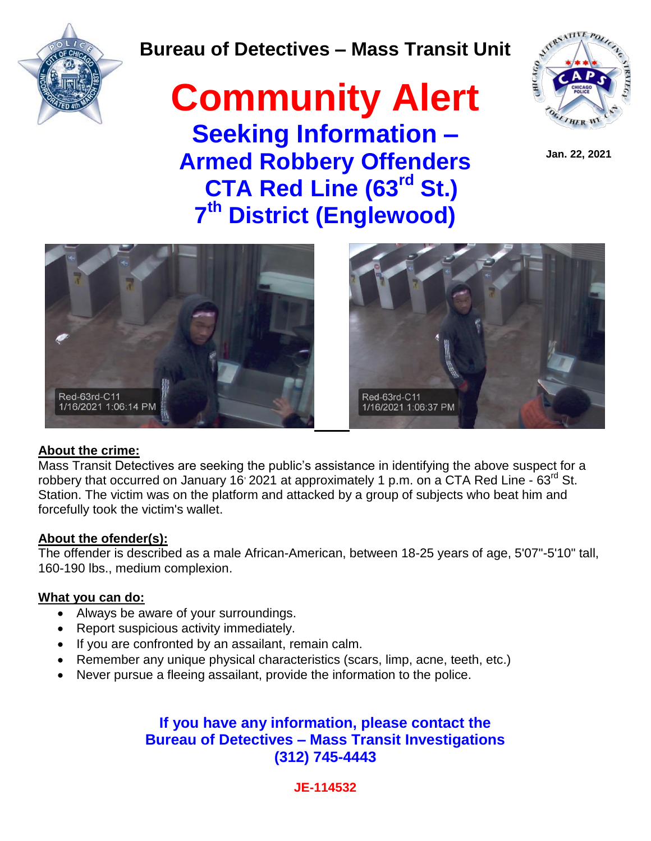

### **Bureau of Detectives – Mass Transit Unit**

## **Community Alert Seeking Information – Armed Robbery Offenders CTA Red Line (63rd St.) 7 th District (Englewood)**



 **Jan. 22, 2021**





### **About the crime:**

Mass Transit Detectives are seeking the public's assistance in identifying the above suspect for a robbery that occurred on January 16  $2021$  at approximately 1 p.m. on a CTA Red Line - 63<sup>rd</sup> St. Station. The victim was on the platform and attacked by a group of subjects who beat him and forcefully took the victim's wallet.

### **About the ofender(s):**

The offender is described as a male African-American, between 18-25 years of age, 5'07"-5'10" tall, 160-190 lbs., medium complexion.

### **What you can do:**

- Always be aware of your surroundings.
- Report suspicious activity immediately.
- If you are confronted by an assailant, remain calm.
- Remember any unique physical characteristics (scars, limp, acne, teeth, etc.)
- Never pursue a fleeing assailant, provide the information to the police.

### **If you have any information, please contact the Bureau of Detectives – Mass Transit Investigations (312) 745-4443**

**JE-114532**